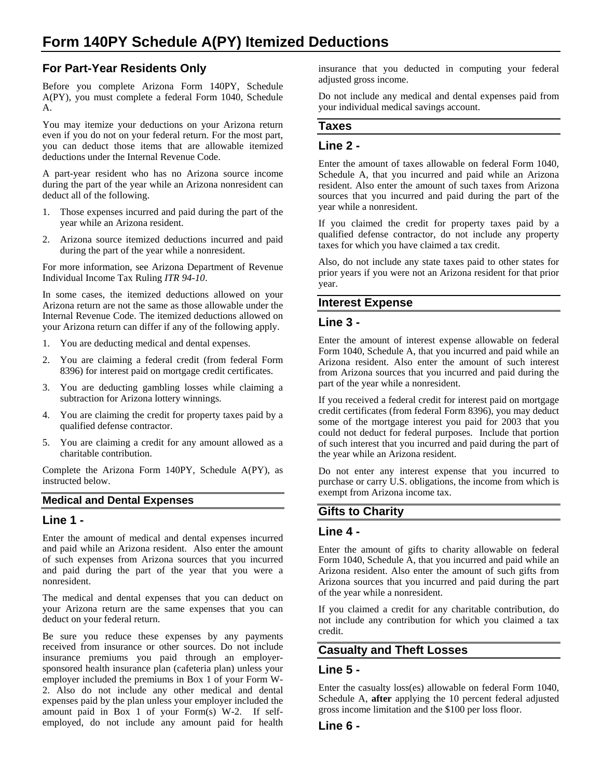## **For Part-Year Residents Only**

Before you complete Arizona Form 140PY, Schedule A(PY), you must complete a federal Form 1040, Schedule A.

You may itemize your deductions on your Arizona return even if you do not on your federal return. For the most part, you can deduct those items that are allowable itemized deductions under the Internal Revenue Code.

A part-year resident who has no Arizona source income during the part of the year while an Arizona nonresident can deduct all of the following.

- 1. Those expenses incurred and paid during the part of the year while an Arizona resident.
- 2. Arizona source itemized deductions incurred and paid during the part of the year while a nonresident.

For more information, see Arizona Department of Revenue Individual Income Tax Ruling *ITR 94-10*.

In some cases, the itemized deductions allowed on your Arizona return are not the same as those allowable under the Internal Revenue Code. The itemized deductions allowed on your Arizona return can differ if any of the following apply.

- 1. You are deducting medical and dental expenses.
- 2. You are claiming a federal credit (from federal Form 8396) for interest paid on mortgage credit certificates.
- 3. You are deducting gambling losses while claiming a subtraction for Arizona lottery winnings.
- 4. You are claiming the credit for property taxes paid by a qualified defense contractor.
- 5. You are claiming a credit for any amount allowed as a charitable contribution.

Complete the Arizona Form 140PY, Schedule A(PY), as instructed below.

#### **Medical and Dental Expenses**

#### **Line 1 -**

Enter the amount of medical and dental expenses incurred and paid while an Arizona resident. Also enter the amount of such expenses from Arizona sources that you incurred and paid during the part of the year that you were a nonresident.

The medical and dental expenses that you can deduct on your Arizona return are the same expenses that you can deduct on your federal return.

Be sure you reduce these expenses by any payments received from insurance or other sources. Do not include insurance premiums you paid through an employersponsored health insurance plan (cafeteria plan) unless your employer included the premiums in Box 1 of your Form W-2. Also do not include any other medical and dental expenses paid by the plan unless your employer included the amount paid in Box 1 of your Form(s) W-2. If selfemployed, do not include any amount paid for health

insurance that you deducted in computing your federal adjusted gross income.

Do not include any medical and dental expenses paid from your individual medical savings account.

# **Taxes**

#### **Line 2 -**

Enter the amount of taxes allowable on federal Form 1040, Schedule A, that you incurred and paid while an Arizona resident. Also enter the amount of such taxes from Arizona sources that you incurred and paid during the part of the year while a nonresident.

If you claimed the credit for property taxes paid by a qualified defense contractor, do not include any property taxes for which you have claimed a tax credit.

Also, do not include any state taxes paid to other states for prior years if you were not an Arizona resident for that prior year.

#### **Interest Expense**

#### **Line 3 -**

Enter the amount of interest expense allowable on federal Form 1040, Schedule A, that you incurred and paid while an Arizona resident. Also enter the amount of such interest from Arizona sources that you incurred and paid during the part of the year while a nonresident.

If you received a federal credit for interest paid on mortgage credit certificates (from federal Form 8396), you may deduct some of the mortgage interest you paid for 2003 that you could not deduct for federal purposes. Include that portion of such interest that you incurred and paid during the part of the year while an Arizona resident.

Do not enter any interest expense that you incurred to purchase or carry U.S. obligations, the income from which is exempt from Arizona income tax.

## **Gifts to Charity**

#### **Line 4 -**

Enter the amount of gifts to charity allowable on federal Form 1040, Schedule A, that you incurred and paid while an Arizona resident. Also enter the amount of such gifts from Arizona sources that you incurred and paid during the part of the year while a nonresident.

If you claimed a credit for any charitable contribution, do not include any contribution for which you claimed a tax credit.

#### **Casualty and Theft Losses**

#### **Line 5 -**

Enter the casualty loss(es) allowable on federal Form 1040, Schedule A, **after** applying the 10 percent federal adjusted gross income limitation and the \$100 per loss floor.

#### **Line 6 -**